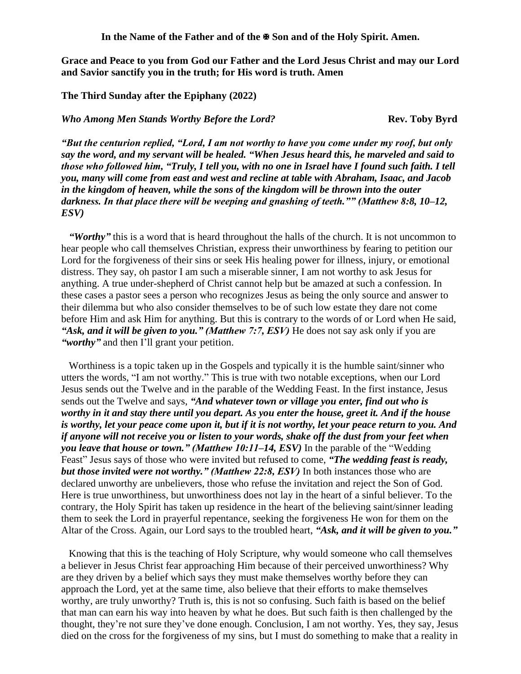**In the Name of the Father and of the Son and of the Holy Spirit. Amen.**

**Grace and Peace to you from God our Father and the Lord Jesus Christ and may our Lord and Savior sanctify you in the truth; for His word is truth. Amen**

**The Third Sunday after the Epiphany (2022)**

*Who Among Men Stands Worthy Before the Lord?* **Rev. Toby Byrd**

*"But the centurion replied, "Lord, I am not worthy to have you come under my roof, but only say the word, and my servant will be healed. "When Jesus heard this, he marveled and said to those who followed him, "Truly, I tell you, with no one in Israel have I found such faith. I tell you, many will come from east and west and recline at table with Abraham, Isaac, and Jacob in the kingdom of heaven, while the sons of the kingdom will be thrown into the outer darkness. In that place there will be weeping and gnashing of teeth."" (Matthew 8:8, 10–12, ESV)* 

*"Worthy"* this is a word that is heard throughout the halls of the church. It is not uncommon to hear people who call themselves Christian, express their unworthiness by fearing to petition our Lord for the forgiveness of their sins or seek His healing power for illness, injury, or emotional distress. They say, oh pastor I am such a miserable sinner, I am not worthy to ask Jesus for anything. A true under-shepherd of Christ cannot help but be amazed at such a confession. In these cases a pastor sees a person who recognizes Jesus as being the only source and answer to their dilemma but who also consider themselves to be of such low estate they dare not come before Him and ask Him for anything. But this is contrary to the words of or Lord when He said, *"Ask, and it will be given to you." (Matthew 7:7, ESV)* He does not say ask only if you are *"worthy"* and then I'll grant your petition.

Worthiness is a topic taken up in the Gospels and typically it is the humble saint/sinner who utters the words, "I am not worthy." This is true with two notable exceptions, when our Lord Jesus sends out the Twelve and in the parable of the Wedding Feast. In the first instance, Jesus sends out the Twelve and says, *"And whatever town or village you enter, find out who is worthy in it and stay there until you depart. As you enter the house, greet it. And if the house is worthy, let your peace come upon it, but if it is not worthy, let your peace return to you. And if anyone will not receive you or listen to your words, shake off the dust from your feet when you leave that house or town." (Matthew 10:11–14, ESV)* In the parable of the "Wedding Feast" Jesus says of those who were invited but refused to come, *"The wedding feast is ready, but those invited were not worthy." (Matthew 22:8, ESV)* In both instances those who are declared unworthy are unbelievers, those who refuse the invitation and reject the Son of God. Here is true unworthiness, but unworthiness does not lay in the heart of a sinful believer. To the contrary, the Holy Spirit has taken up residence in the heart of the believing saint/sinner leading them to seek the Lord in prayerful repentance, seeking the forgiveness He won for them on the Altar of the Cross. Again, our Lord says to the troubled heart, *"Ask, and it will be given to you."*

Knowing that this is the teaching of Holy Scripture, why would someone who call themselves a believer in Jesus Christ fear approaching Him because of their perceived unworthiness? Why are they driven by a belief which says they must make themselves worthy before they can approach the Lord, yet at the same time, also believe that their efforts to make themselves worthy, are truly unworthy? Truth is, this is not so confusing. Such faith is based on the belief that man can earn his way into heaven by what he does. But such faith is then challenged by the thought, they're not sure they've done enough. Conclusion, I am not worthy. Yes, they say, Jesus died on the cross for the forgiveness of my sins, but I must do something to make that a reality in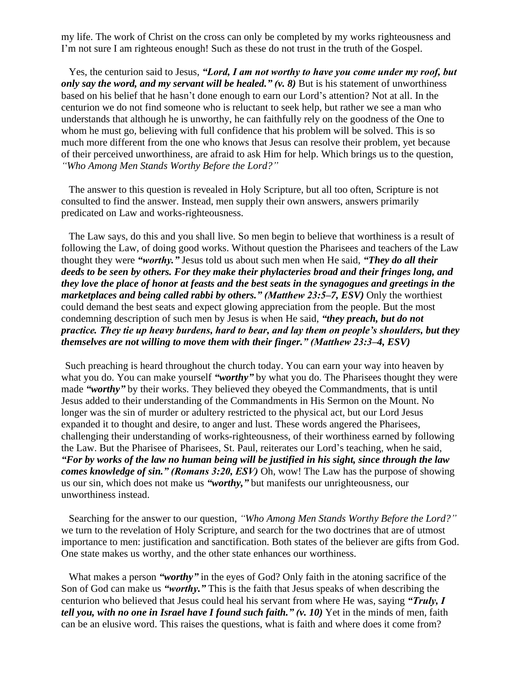my life. The work of Christ on the cross can only be completed by my works righteousness and I'm not sure I am righteous enough! Such as these do not trust in the truth of the Gospel.

Yes, the centurion said to Jesus, *"Lord, I am not worthy to have you come under my roof, but only say the word, and my servant will be healed." (v. 8)* But is his statement of unworthiness based on his belief that he hasn't done enough to earn our Lord's attention? Not at all. In the centurion we do not find someone who is reluctant to seek help, but rather we see a man who understands that although he is unworthy, he can faithfully rely on the goodness of the One to whom he must go, believing with full confidence that his problem will be solved. This is so much more different from the one who knows that Jesus can resolve their problem, yet because of their perceived unworthiness, are afraid to ask Him for help. Which brings us to the question, *"Who Among Men Stands Worthy Before the Lord?"*

The answer to this question is revealed in Holy Scripture, but all too often, Scripture is not consulted to find the answer. Instead, men supply their own answers, answers primarily predicated on Law and works-righteousness.

The Law says, do this and you shall live. So men begin to believe that worthiness is a result of following the Law, of doing good works. Without question the Pharisees and teachers of the Law thought they were *"worthy."* Jesus told us about such men when He said, *"They do all their deeds to be seen by others. For they make their phylacteries broad and their fringes long, and they love the place of honor at feasts and the best seats in the synagogues and greetings in the marketplaces and being called rabbi by others." (Matthew 23:5–7, ESV)* Only the worthiest could demand the best seats and expect glowing appreciation from the people. But the most condemning description of such men by Jesus is when He said, *"they preach, but do not practice. They tie up heavy burdens, hard to bear, and lay them on people's shoulders, but they themselves are not willing to move them with their finger." (Matthew 23:3–4, ESV)* 

Such preaching is heard throughout the church today. You can earn your way into heaven by what you do. You can make yourself "worthy" by what you do. The Pharisees thought they were made "worthy" by their works. They believed they obeyed the Commandments, that is until Jesus added to their understanding of the Commandments in His Sermon on the Mount. No longer was the sin of murder or adultery restricted to the physical act, but our Lord Jesus expanded it to thought and desire, to anger and lust. These words angered the Pharisees, challenging their understanding of works-righteousness, of their worthiness earned by following the Law. But the Pharisee of Pharisees, St. Paul, reiterates our Lord's teaching, when he said, *"For by works of the law no human being will be justified in his sight, since through the law comes knowledge of sin." (Romans 3:20, ESV)* Oh, wow! The Law has the purpose of showing us our sin, which does not make us *"worthy,"* but manifests our unrighteousness, our unworthiness instead.

Searching for the answer to our question, *"Who Among Men Stands Worthy Before the Lord?"* we turn to the revelation of Holy Scripture, and search for the two doctrines that are of utmost importance to men: justification and sanctification. Both states of the believer are gifts from God. One state makes us worthy, and the other state enhances our worthiness.

What makes a person "*worthy*" in the eyes of God? Only faith in the atoning sacrifice of the Son of God can make us *"worthy."* This is the faith that Jesus speaks of when describing the centurion who believed that Jesus could heal his servant from where He was, saying *"Truly, I tell you, with no one in Israel have I found such faith." (v. 10)* Yet in the minds of men, faith can be an elusive word. This raises the questions, what is faith and where does it come from?